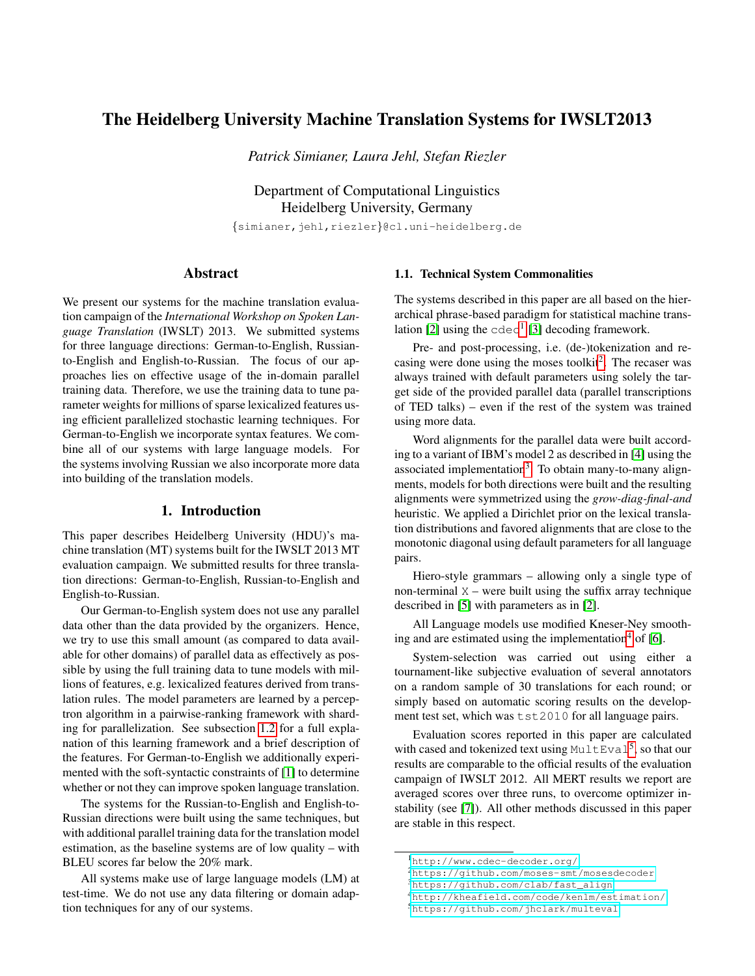# The Heidelberg University Machine Translation Systems for IWSLT2013

*Patrick Simianer, Laura Jehl, Stefan Riezler*

Department of Computational Linguistics Heidelberg University, Germany {simianer,jehl,riezler}@cl.uni-heidelberg.de

## **Abstract**

We present our systems for the machine translation evaluation campaign of the *International Workshop on Spoken Language Translation* (IWSLT) 2013. We submitted systems for three language directions: German-to-English, Russianto-English and English-to-Russian. The focus of our approaches lies on effective usage of the in-domain parallel training data. Therefore, we use the training data to tune parameter weights for millions of sparse lexicalized features using efficient parallelized stochastic learning techniques. For German-to-English we incorporate syntax features. We combine all of our systems with large language models. For the systems involving Russian we also incorporate more data into building of the translation models.

### 1. Introduction

This paper describes Heidelberg University (HDU)'s machine translation (MT) systems built for the IWSLT 2013 MT evaluation campaign. We submitted results for three translation directions: German-to-English, Russian-to-English and English-to-Russian.

Our German-to-English system does not use any parallel data other than the data provided by the organizers. Hence, we try to use this small amount (as compared to data available for other domains) of parallel data as effectively as possible by using the full training data to tune models with millions of features, e.g. lexicalized features derived from translation rules. The model parameters are learned by a perceptron algorithm in a pairwise-ranking framework with sharding for parallelization. See subsection 1.2 for a full explanation of this learning framework and a brief description of the features. For German-to-English we additionally experimented with the soft-syntactic constraints of [1] to determine whether or not they can improve spoken language translation.

The systems for the Russian-to-English and English-to-Russian directions were built using the same techniques, but with additional parallel training data for the translation model estimation, as the baseline systems are of low quality – with BLEU scores far below the 20% mark.

All systems make use of large language models (LM) at test-time. We do not use any data filtering or domain adaption techniques for any of our systems.

#### 1.1. Technical System Commonalities

The systems described in this paper are all based on the hierarchical phrase-based paradigm for statistical machine translation [2] using the  $\text{cdec}^1$  [3] decoding framework.

Pre- and post-processing, i.e. (de-)tokenization and recasing were done using the moses toolkit<sup>2</sup>. The recaser was always trained with default parameters using solely the target side of the provided parallel data (parallel transcriptions of TED talks) – even if the rest of the system was trained using more data.

Word alignments for the parallel data were built according to a variant of IBM's model 2 as described in [4] using the associated implementation<sup>3</sup>. To obtain many-to-many alignments, models for both directions were built and the resulting alignments were symmetrized using the *grow-diag-final-and* heuristic. We applied a Dirichlet prior on the lexical translation distributions and favored alignments that are close to the monotonic diagonal using default parameters for all language pairs.

Hiero-style grammars – allowing only a single type of non-terminal  $X$  – were built using the suffix array technique described in [5] with parameters as in [2].

All Language models use modified Kneser-Ney smoothing and are estimated using the implementation<sup>4</sup> of  $[6]$ .

System-selection was carried out using either a tournament-like subjective evaluation of several annotators on a random sample of 30 translations for each round; or simply based on automatic scoring results on the development test set, which was tst2010 for all language pairs.

Evaluation scores reported in this paper are calculated with cased and tokenized text using  $MultEval<sup>5</sup>$ , so that our results are comparable to the official results of the evaluation campaign of IWSLT 2012. All MERT results we report are averaged scores over three runs, to overcome optimizer instability (see [7]). All other methods discussed in this paper are stable in this respect.

<sup>1</sup><http://www.cdec-decoder.org/>

<sup>2</sup><https://github.com/moses-smt/mosesdecoder>

<sup>3</sup>[https://github.com/clab/fast\\_align](https://github.com/clab/fast_align)

<sup>4</sup><http://kheafield.com/code/kenlm/estimation/>

<sup>5</sup><https://github.com/jhclark/multeval>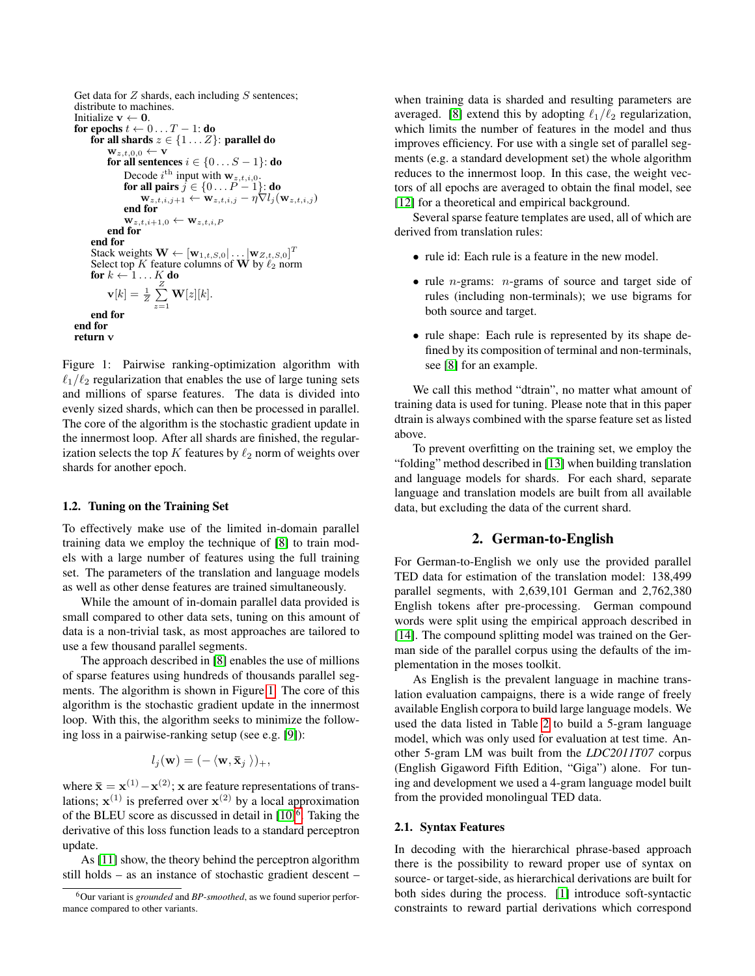```
Get data for Z shards, each including S sentences;
distribute to machines.
Initialize v \leftarrow 0.
for epochs t \leftarrow 0 \dots T - 1: do
      for all shards z \in \{1...Z\}: parallel do
            \mathbf{w}_{z,t,0,0} \leftarrow \mathbf{v}for all sentences i \in \{0...S-1\}: do
                  Decode i^{\text{th}} input with \mathbf{w}_{z,t,i,0}.
                  for all pairs j \in \{0 \dots P-1\}: do
                       \mathbf{w}_{z,t,i,j+1} \leftarrow \mathbf{w}_{z,t,i,j} - \eta \nabla l_j(\mathbf{w}_{z,t,i,j})end for
                  \mathbf{w}_{z,t,i+1,0} \leftarrow \mathbf{w}_{z,t,i,P}end for
      end for
      Stack weights \mathbf{W} \leftarrow [\mathbf{w}_{1,t,S,0} | \dots | \mathbf{w}_{Z,t,S,0}]^TSelect top K feature columns of W by \ell_2 norm<br>for k \leftarrow 1...K do
      for k \leftarrow 1 \dots K\limits_{\substack{z\ \mathbf{z}}}do
            \mathbf{v}[k] = \frac{1}{Z} \sum_{i=1}^{Z}\sum_{z=1} W[z][k].
     end for
end for
return v
```
Figure 1: Pairwise ranking-optimization algorithm with  $\ell_1/\ell_2$  regularization that enables the use of large tuning sets and millions of sparse features. The data is divided into evenly sized shards, which can then be processed in parallel. The core of the algorithm is the stochastic gradient update in the innermost loop. After all shards are finished, the regularization selects the top  $K$  features by  $\ell_2$  norm of weights over shards for another epoch.

#### 1.2. Tuning on the Training Set

To effectively make use of the limited in-domain parallel training data we employ the technique of [8] to train models with a large number of features using the full training set. The parameters of the translation and language models as well as other dense features are trained simultaneously.

While the amount of in-domain parallel data provided is small compared to other data sets, tuning on this amount of data is a non-trivial task, as most approaches are tailored to use a few thousand parallel segments.

The approach described in [8] enables the use of millions of sparse features using hundreds of thousands parallel segments. The algorithm is shown in Figure 1. The core of this algorithm is the stochastic gradient update in the innermost loop. With this, the algorithm seeks to minimize the following loss in a pairwise-ranking setup (see e.g. [9]):

$$
l_j(\mathbf{w}) = (-\langle \mathbf{w}, \mathbf{\bar{x}}_j \rangle)_+,
$$

where  $\bar{\mathbf{x}} = \mathbf{x}^{(1)} - \mathbf{x}^{(2)}$ ; x are feature representations of translations;  $x^{(1)}$  is preferred over  $x^{(2)}$  by a local approximation of the BLEU score as discussed in detail in  $[10]$ <sup>6</sup>. Taking the derivative of this loss function leads to a standard perceptron update.

As [11] show, the theory behind the perceptron algorithm still holds – as an instance of stochastic gradient descent –

when training data is sharded and resulting parameters are averaged. [8] extend this by adopting  $\ell_1/\ell_2$  regularization, which limits the number of features in the model and thus improves efficiency. For use with a single set of parallel segments (e.g. a standard development set) the whole algorithm reduces to the innermost loop. In this case, the weight vectors of all epochs are averaged to obtain the final model, see [12] for a theoretical and empirical background.

Several sparse feature templates are used, all of which are derived from translation rules:

- rule id: Each rule is a feature in the new model.
- rule *n*-grams: *n*-grams of source and target side of rules (including non-terminals); we use bigrams for both source and target.
- rule shape: Each rule is represented by its shape defined by its composition of terminal and non-terminals, see [8] for an example.

We call this method "dtrain", no matter what amount of training data is used for tuning. Please note that in this paper dtrain is always combined with the sparse feature set as listed above.

To prevent overfitting on the training set, we employ the "folding" method described in [13] when building translation and language models for shards. For each shard, separate language and translation models are built from all available data, but excluding the data of the current shard.

### 2. German-to-English

For German-to-English we only use the provided parallel TED data for estimation of the translation model: 138,499 parallel segments, with 2,639,101 German and 2,762,380 English tokens after pre-processing. German compound words were split using the empirical approach described in [14]. The compound splitting model was trained on the German side of the parallel corpus using the defaults of the implementation in the moses toolkit.

As English is the prevalent language in machine translation evaluation campaigns, there is a wide range of freely available English corpora to build large language models. We used the data listed in Table 2 to build a 5-gram language model, which was only used for evaluation at test time. Another 5-gram LM was built from the *LDC2011T07* corpus (English Gigaword Fifth Edition, "Giga") alone. For tuning and development we used a 4-gram language model built from the provided monolingual TED data.

#### 2.1. Syntax Features

In decoding with the hierarchical phrase-based approach there is the possibility to reward proper use of syntax on source- or target-side, as hierarchical derivations are built for both sides during the process. [1] introduce soft-syntactic constraints to reward partial derivations which correspond

<sup>6</sup>Our variant is *grounded* and *BP-smoothed*, as we found superior performance compared to other variants.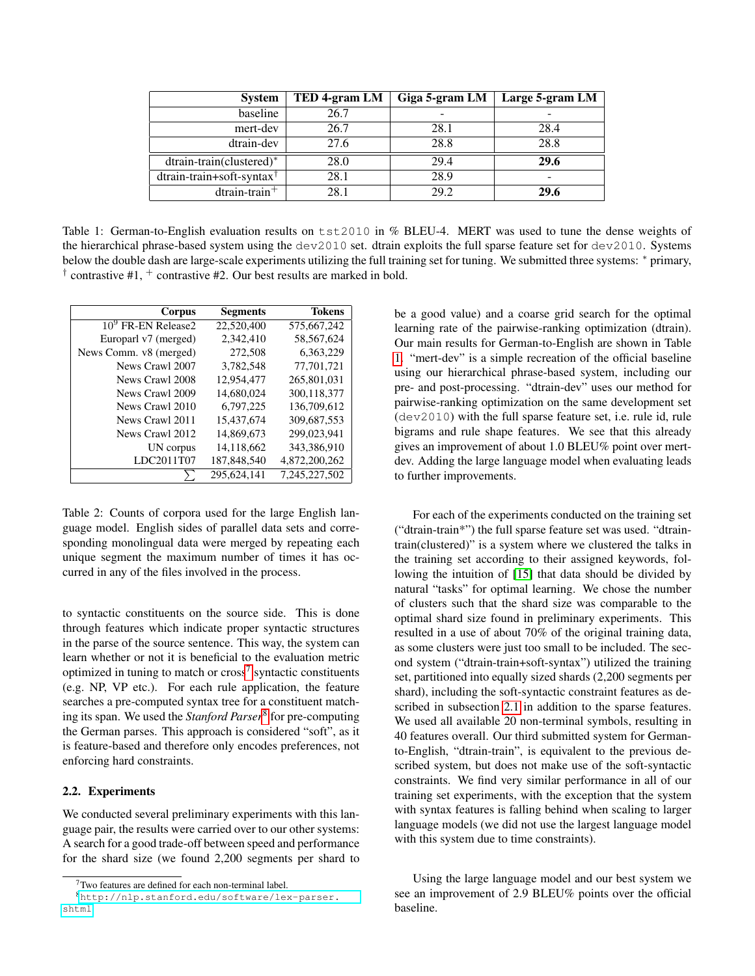| <b>System</b>                            | TED 4-gram LM | Giga 5-gram LM | Large 5-gram LM |
|------------------------------------------|---------------|----------------|-----------------|
| baseline                                 | 26.7          |                |                 |
| mert-dev                                 | 26.7          | 28.1           | 28.4            |
| dtrain-dev                               | 27.6          | 28.8           | 28.8            |
| dtrain-train(clustered)*                 | 28.0          | 29.4           | 29.6            |
| $d$ train-train+soft-syntax <sup>†</sup> | 28.1          | 28.9           | -               |
| $d$ train-train <sup>+</sup>             | 28.1          | 29.2           | 29.6            |

Table 1: German-to-English evaluation results on tst2010 in % BLEU-4. MERT was used to tune the dense weights of the hierarchical phrase-based system using the  $dev2010$  set. dtrain exploits the full sparse feature set for  $dev2010$ . Systems below the double dash are large-scale experiments utilizing the full training set for tuning. We submitted three systems: <sup>∗</sup> primary, <sup> $\dagger$ </sup> contrastive #1,  $\dagger$  contrastive #2. Our best results are marked in bold.

| Corpus                 | <b>Segments</b> | <b>Tokens</b> |
|------------------------|-----------------|---------------|
| $109$ FR-EN Release2   | 22,520,400      | 575,667,242   |
| Europarl v7 (merged)   | 2,342,410       | 58,567,624    |
| News Comm. v8 (merged) | 272,508         | 6,363,229     |
| News Crawl 2007        | 3,782,548       | 77,701,721    |
| News Crawl 2008        | 12,954,477      | 265,801,031   |
| News Crawl 2009        | 14.680.024      | 300,118,377   |
| News Crawl 2010        | 6,797,225       | 136,709,612   |
| News Crawl 2011        | 15.437.674      | 309,687,553   |
| News Crawl 2012        | 14,869,673      | 299,023,941   |
| UN corpus              | 14,118,662      | 343,386,910   |
| LDC2011T07             | 187,848,540     | 4,872,200,262 |
|                        | 295,624,141     | 7,245,227,502 |

Table 2: Counts of corpora used for the large English language model. English sides of parallel data sets and corresponding monolingual data were merged by repeating each unique segment the maximum number of times it has occurred in any of the files involved in the process.

to syntactic constituents on the source side. This is done through features which indicate proper syntactic structures in the parse of the source sentence. This way, the system can learn whether or not it is beneficial to the evaluation metric optimized in tuning to match or  $\text{cross}^7$  syntactic constituents (e.g. NP, VP etc.). For each rule application, the feature searches a pre-computed syntax tree for a constituent matching its span. We used the *Stanford Parser*8 for pre-computing the German parses. This approach is considered "soft", as it is feature-based and therefore only encodes preferences, not enforcing hard constraints.

#### 2.2. Experiments

We conducted several preliminary experiments with this language pair, the results were carried over to our other systems: A search for a good trade-off between speed and performance for the shard size (we found 2,200 segments per shard to be a good value) and a coarse grid search for the optimal learning rate of the pairwise-ranking optimization (dtrain). Our main results for German-to-English are shown in Table 1. "mert-dev" is a simple recreation of the official baseline using our hierarchical phrase-based system, including our pre- and post-processing. "dtrain-dev" uses our method for pairwise-ranking optimization on the same development set (dev2010) with the full sparse feature set, i.e. rule id, rule bigrams and rule shape features. We see that this already gives an improvement of about 1.0 BLEU% point over mertdev. Adding the large language model when evaluating leads to further improvements.

For each of the experiments conducted on the training set ("dtrain-train\*") the full sparse feature set was used. "dtraintrain(clustered)" is a system where we clustered the talks in the training set according to their assigned keywords, following the intuition of [15] that data should be divided by natural "tasks" for optimal learning. We chose the number of clusters such that the shard size was comparable to the optimal shard size found in preliminary experiments. This resulted in a use of about 70% of the original training data, as some clusters were just too small to be included. The second system ("dtrain-train+soft-syntax") utilized the training set, partitioned into equally sized shards (2,200 segments per shard), including the soft-syntactic constraint features as described in subsection 2.1 in addition to the sparse features. We used all available 20 non-terminal symbols, resulting in 40 features overall. Our third submitted system for Germanto-English, "dtrain-train", is equivalent to the previous described system, but does not make use of the soft-syntactic constraints. We find very similar performance in all of our training set experiments, with the exception that the system with syntax features is falling behind when scaling to larger language models (we did not use the largest language model with this system due to time constraints).

Using the large language model and our best system we see an improvement of 2.9 BLEU% points over the official baseline.

 $7$ Two features are defined for each non-terminal label.

<sup>8</sup>[http://nlp.stanford.edu/software/lex-parser.](http://nlp.stanford.edu/software/lex-parser.shtml) [shtml](http://nlp.stanford.edu/software/lex-parser.shtml)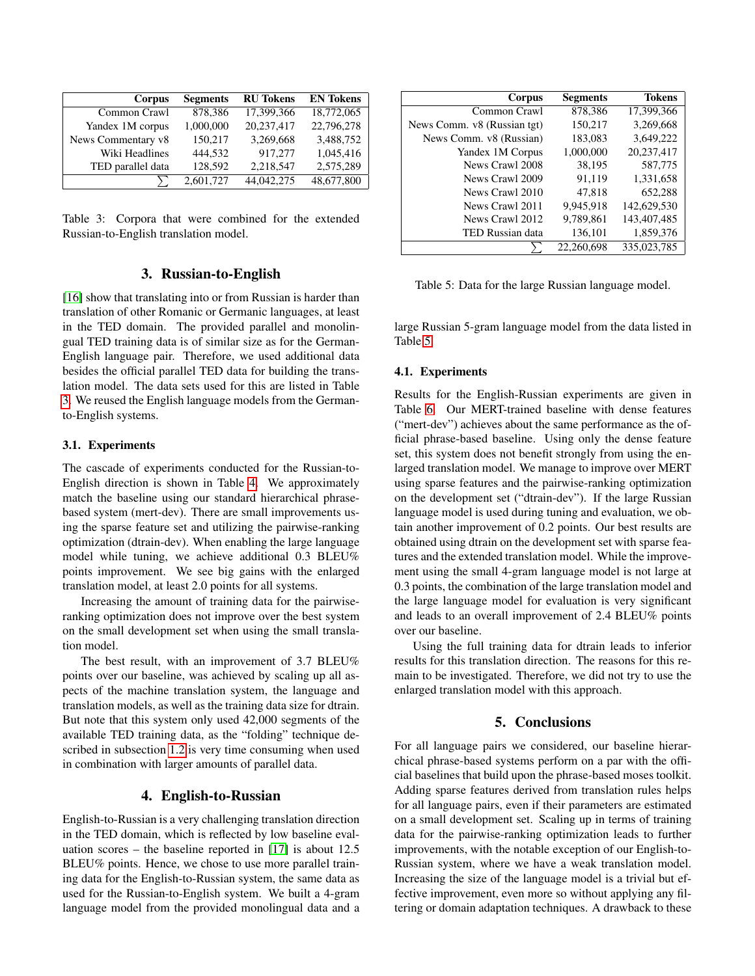| Corpus             | <b>Segments</b> | <b>RU</b> Tokens | <b>EN Tokens</b> |
|--------------------|-----------------|------------------|------------------|
| Common Crawl       | 878,386         | 17,399,366       | 18,772,065       |
| Yandex 1M corpus   | 1,000,000       | 20.237.417       | 22,796,278       |
| News Commentary v8 | 150,217         | 3,269,668        | 3,488,752        |
| Wiki Headlines     | 444.532         | 917.277          | 1,045,416        |
| TED parallel data  | 128,592         | 2,218,547        | 2,575,289        |
|                    | 2,601,727       | 44,042,275       | 48,677,800       |

Table 3: Corpora that were combined for the extended Russian-to-English translation model.

### 3. Russian-to-English

[16] show that translating into or from Russian is harder than translation of other Romanic or Germanic languages, at least in the TED domain. The provided parallel and monolingual TED training data is of similar size as for the German-English language pair. Therefore, we used additional data besides the official parallel TED data for building the translation model. The data sets used for this are listed in Table 3. We reused the English language models from the Germanto-English systems.

#### 3.1. Experiments

The cascade of experiments conducted for the Russian-to-English direction is shown in Table 4. We approximately match the baseline using our standard hierarchical phrasebased system (mert-dev). There are small improvements using the sparse feature set and utilizing the pairwise-ranking optimization (dtrain-dev). When enabling the large language model while tuning, we achieve additional 0.3 BLEU% points improvement. We see big gains with the enlarged translation model, at least 2.0 points for all systems.

Increasing the amount of training data for the pairwiseranking optimization does not improve over the best system on the small development set when using the small translation model.

The best result, with an improvement of 3.7 BLEU% points over our baseline, was achieved by scaling up all aspects of the machine translation system, the language and translation models, as well as the training data size for dtrain. But note that this system only used 42,000 segments of the available TED training data, as the "folding" technique described in subsection 1.2 is very time consuming when used in combination with larger amounts of parallel data.

### 4. English-to-Russian

English-to-Russian is a very challenging translation direction in the TED domain, which is reflected by low baseline evaluation scores – the baseline reported in [17] is about 12.5 BLEU% points. Hence, we chose to use more parallel training data for the English-to-Russian system, the same data as used for the Russian-to-English system. We built a 4-gram language model from the provided monolingual data and a

| Corpus                      | <b>Segments</b> | <b>Tokens</b> |
|-----------------------------|-----------------|---------------|
| Common Crawl                | 878,386         | 17,399,366    |
| News Comm. v8 (Russian tgt) | 150,217         | 3,269,668     |
| News Comm. v8 (Russian)     | 183,083         | 3,649,222     |
| Yandex 1M Corpus            | 1,000,000       | 20,237,417    |
| News Crawl 2008             | 38,195          | 587,775       |
| News Crawl 2009             | 91,119          | 1,331,658     |
| News Crawl 2010             | 47,818          | 652,288       |
| News Crawl 2011             | 9,945,918       | 142,629,530   |
| News Crawl 2012             | 9,789,861       | 143,407,485   |
| TED Russian data            | 136,101         | 1,859,376     |
|                             | 22,260,698      | 335,023,785   |

Table 5: Data for the large Russian language model.

large Russian 5-gram language model from the data listed in Table 5.

#### 4.1. Experiments

Results for the English-Russian experiments are given in Table 6. Our MERT-trained baseline with dense features ("mert-dev") achieves about the same performance as the official phrase-based baseline. Using only the dense feature set, this system does not benefit strongly from using the enlarged translation model. We manage to improve over MERT using sparse features and the pairwise-ranking optimization on the development set ("dtrain-dev"). If the large Russian language model is used during tuning and evaluation, we obtain another improvement of 0.2 points. Our best results are obtained using dtrain on the development set with sparse features and the extended translation model. While the improvement using the small 4-gram language model is not large at 0.3 points, the combination of the large translation model and the large language model for evaluation is very significant and leads to an overall improvement of 2.4 BLEU% points over our baseline.

Using the full training data for dtrain leads to inferior results for this translation direction. The reasons for this remain to be investigated. Therefore, we did not try to use the enlarged translation model with this approach.

### 5. Conclusions

For all language pairs we considered, our baseline hierarchical phrase-based systems perform on a par with the official baselines that build upon the phrase-based moses toolkit. Adding sparse features derived from translation rules helps for all language pairs, even if their parameters are estimated on a small development set. Scaling up in terms of training data for the pairwise-ranking optimization leads to further improvements, with the notable exception of our English-to-Russian system, where we have a weak translation model. Increasing the size of the language model is a trivial but effective improvement, even more so without applying any filtering or domain adaptation techniques. A drawback to these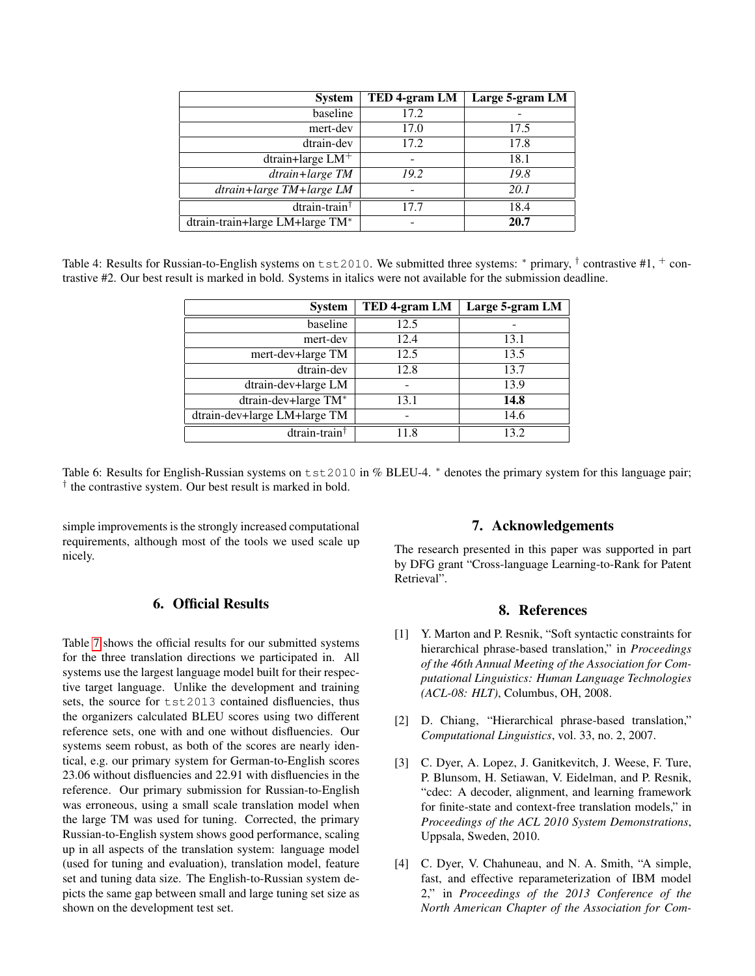| <b>System</b>                   | TED 4-gram LM | Large 5-gram LM |
|---------------------------------|---------------|-----------------|
| baseline                        | 17.2          |                 |
| mert-dev                        | 17.0          | 17.5            |
| dtrain-dev                      | 17.2          | 17.8            |
| dtrain+large $LM+$              |               | 18.1            |
| dtrain+large TM                 | 19.2          | 19.8            |
| dtrain+large TM+large LM        |               | 20.1            |
| $d$ train-train <sup>†</sup>    | 17.7          | 18.4            |
| dtrain-train+large LM+large TM* |               | 20.7            |

Table 4: Results for Russian-to-English systems on  $\text{tst2010}$ . We submitted three systems: \* primary, † contrastive #1, + contrastive #2. Our best result is marked in bold. Systems in italics were not available for the submission deadline.

| <b>System</b>                | TED 4-gram LM | Large 5-gram LM |
|------------------------------|---------------|-----------------|
| baseline                     | 12.5          |                 |
| mert-dev                     | 12.4          | 13.1            |
| mert-dev+large TM            | 12.5          | 13.5            |
| dtrain-dev                   | 12.8          | 13.7            |
| dtrain-dev+large LM          |               | 13.9            |
| dtrain-dev+large TM*         | 13.1          | 14.8            |
| dtrain-dev+large LM+large TM |               | 14.6            |
| dtrain-train <sup>†</sup>    | 11.8          | 13.2            |

Table 6: Results for English-Russian systems on tst2010 in % BLEU-4. <sup>∗</sup> denotes the primary system for this language pair; † the contrastive system. Our best result is marked in bold.

simple improvements is the strongly increased computational requirements, although most of the tools we used scale up nicely.

# 6. Official Results

Table 7 shows the official results for our submitted systems for the three translation directions we participated in. All systems use the largest language model built for their respective target language. Unlike the development and training sets, the source for tst2013 contained disfluencies, thus the organizers calculated BLEU scores using two different reference sets, one with and one without disfluencies. Our systems seem robust, as both of the scores are nearly identical, e.g. our primary system for German-to-English scores 23.06 without disfluencies and 22.91 with disfluencies in the reference. Our primary submission for Russian-to-English was erroneous, using a small scale translation model when the large TM was used for tuning. Corrected, the primary Russian-to-English system shows good performance, scaling up in all aspects of the translation system: language model (used for tuning and evaluation), translation model, feature set and tuning data size. The English-to-Russian system depicts the same gap between small and large tuning set size as shown on the development test set.

### 7. Acknowledgements

The research presented in this paper was supported in part by DFG grant "Cross-language Learning-to-Rank for Patent Retrieval".

### 8. References

- [1] Y. Marton and P. Resnik, "Soft syntactic constraints for hierarchical phrase-based translation," in *Proceedings of the 46th Annual Meeting of the Association for Computational Linguistics: Human Language Technologies (ACL-08: HLT)*, Columbus, OH, 2008.
- [2] D. Chiang, "Hierarchical phrase-based translation," *Computational Linguistics*, vol. 33, no. 2, 2007.
- [3] C. Dyer, A. Lopez, J. Ganitkevitch, J. Weese, F. Ture, P. Blunsom, H. Setiawan, V. Eidelman, and P. Resnik, "cdec: A decoder, alignment, and learning framework for finite-state and context-free translation models," in *Proceedings of the ACL 2010 System Demonstrations*, Uppsala, Sweden, 2010.
- [4] C. Dyer, V. Chahuneau, and N. A. Smith, "A simple, fast, and effective reparameterization of IBM model 2," in *Proceedings of the 2013 Conference of the North American Chapter of the Association for Com-*